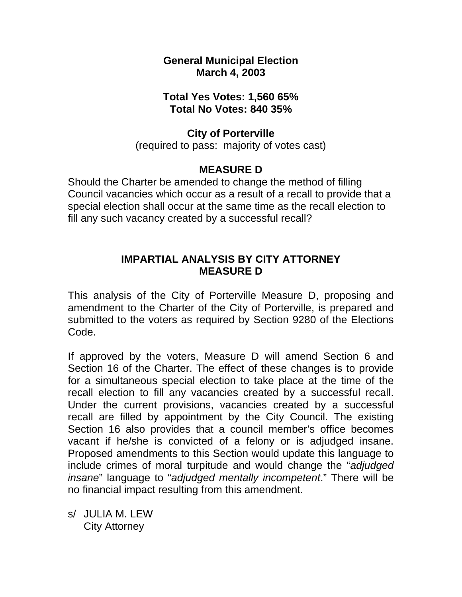**General Municipal Election March 4, 2003** 

## **Total Yes Votes: 1,560 65% Total No Votes: 840 35%**

### **City of Porterville**

(required to pass: majority of votes cast)

# **MEASURE D**

Should the Charter be amended to change the method of filling Council vacancies which occur as a result of a recall to provide that a special election shall occur at the same time as the recall election to fill any such vacancy created by a successful recall?

## **IMPARTIAL ANALYSIS BY CITY ATTORNEY MEASURE D**

This analysis of the City of Porterville Measure D, proposing and amendment to the Charter of the City of Porterville, is prepared and submitted to the voters as required by Section 9280 of the Elections Code.

If approved by the voters, Measure D will amend Section 6 and Section 16 of the Charter. The effect of these changes is to provide for a simultaneous special election to take place at the time of the recall election to fill any vacancies created by a successful recall. Under the current provisions, vacancies created by a successful recall are filled by appointment by the City Council. The existing Section 16 also provides that a council member's office becomes vacant if he/she is convicted of a felony or is adjudged insane. Proposed amendments to this Section would update this language to include crimes of moral turpitude and would change the "*adjudged insane*" language to "*adjudged mentally incompetent*." There will be no financial impact resulting from this amendment.

s/ JULIA M. LEW City Attorney